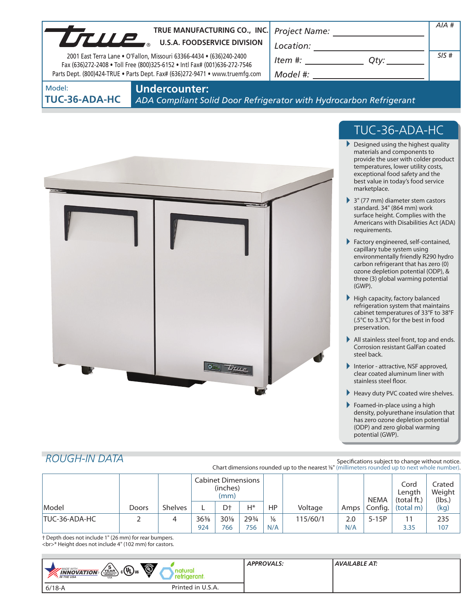| LTULE                          | TRUE MANUFACTURING CO., INC. Project Name:<br><b>U.S.A. FOODSERVICE DIVISION</b><br>2001 East Terra Lane . O'Fallon, Missouri 63366-4434 . (636)240-2400<br>Fax (636)272-2408 . Toll Free (800)325-6152 . Intl Fax# (001)636-272-7546<br>Parts Dept. (800)424-TRUE . Parts Dept. Fax# (636)272-9471 . www.truemfg.com | Location:<br>Item #:<br>$Q$ ty: $\qquad \qquad$<br>Model #:        | $AIA$ #<br>SIS# |
|--------------------------------|-----------------------------------------------------------------------------------------------------------------------------------------------------------------------------------------------------------------------------------------------------------------------------------------------------------------------|--------------------------------------------------------------------|-----------------|
| Model:<br><b>TUC-36-ADA-HC</b> | <b>Undercounter:</b>                                                                                                                                                                                                                                                                                                  | ADA Compliant Solid Door Refrigerator with Hydrocarbon Refrigerant |                 |



# TUC-36-ADA-HC

- Designed using the highest quality materials and components to provide the user with colder product temperatures, lower utility costs, exceptional food safety and the best value in today's food service marketplace.
- 3" (77 mm) diameter stem castors standard. 34" (864 mm) work surface height. Complies with the Americans with Disabilities Act (ADA) requirements.
- Factory engineered, self-contained, capillary tube system using environmentally friendly R290 hydro carbon refrigerant that has zero (0) ozone depletion potential (ODP), & three (3) global warming potential (GWP).
- $\blacktriangleright$  High capacity, factory balanced refrigeration system that maintains cabinet temperatures of 33°F to 38°F (.5°C to 3.3°C) for the best in food preservation.
- All stainless steel front, top and ends. Corrosion resistant GalFan coated steel back.
- Interior attractive, NSF approved, clear coated aluminum liner with stainless steel floor.
- Heavy duty PVC coated wire shelves.
- Foamed-in-place using a high density, polyurethane insulation that has zero ozone depletion potential (ODP) and zero global warming potential (GWP).

# *ROUGH-IN DATA*

Specifications subject to change without notice. Chart dimensions rounded up to the nearest %" (millimeters rounded up to next whole number).

|               |       |                | <b>Cabinet Dimensions</b><br>(inches)<br>(mm) |                |              |                      |          | <b>NEMA</b> | Cord<br>Lenath<br>(total ft.) | crated<br>Weight<br>(lbs.) |            |
|---------------|-------|----------------|-----------------------------------------------|----------------|--------------|----------------------|----------|-------------|-------------------------------|----------------------------|------------|
| Model         | Doors | <b>Shelves</b> |                                               | D <sup>+</sup> | $H^*$        | HP                   | Voltage  |             | Amps   Config.                | (total m)                  | (kg)       |
| TUC-36-ADA-HC |       |                | $36\%$<br>924                                 | $30\%$<br>766  | 293/4<br>756 | $\frac{1}{6}$<br>N/A | 115/60/1 | 2.0<br>N/A  | $5-15P$                       | 11<br>3.35                 | 235<br>107 |

† Depth does not include 1" (26 mm) for rear bumpers. <br>\* Height does not include 4" (102 mm) for castors.

| $\ddot{\mathbb{Q}}$<br>$_{\rm c}$ (Up) <sub>us</sub><br>◡<br>MADE WITH_<br>natura<br>$\sqrt{\text{C}^{\text{CHERN}}_{\text{COMPHESSON}}}$<br><b>INNOVATION</b><br><b>AN THE USA</b><br>ranı<br><b>USA</b> | <b>APPROVALS:</b> | <b>AVAILABLE AT:</b> |
|-----------------------------------------------------------------------------------------------------------------------------------------------------------------------------------------------------------|-------------------|----------------------|
| Printed in U.S.A.<br>$6/18 - A$                                                                                                                                                                           |                   |                      |